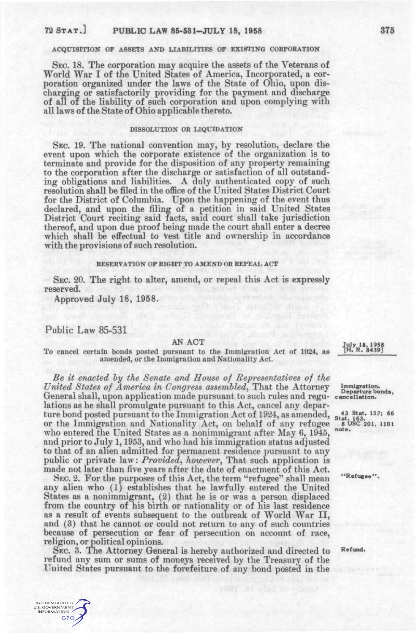# 72 STAT.] PUBLIC LAW 85-531-JULY 18, 1958 375

## ACQUISITION OF ASSETS AND LIABILITIES OF EXISTING CORPORATION

SEC. 18. The corporation may acquire the assets of the Veterans of World War I of the United States of America, Incorporated, a corporation organized under the laws of the State of Ohio, upon discharging or satisfactorily providing for the payment and discharge of all of the liability of such corporation and upon complying with all laws of the State of Ohio applicable thereto.

### DISSOLUTION OR LIQUIDATION

SEC. 19. The national convention may, by resolution, declare the event upon which the corporate existence of the organization is to terminate and provide for the disposition of any property remaining to the corporation after the discharge or satisfaction of all outstanding obligations and liabilities. A duly authenticated copy of such resolution shall be filed in the office of the United States District Court for the District of Columbia. Upon the happening of the event thus declared, and upon the filing of a petition in said United States District Court reciting said facts, said court shall take jurisdiction thereof, and upon due proof being made the court shall enter a decree which shall be effectual to vest title and ownership in accordance with the provisions of such resolution.

#### RESERVATION OF RIGHT TO AMEND OR REPEAL ACT

SEC. 20. The right to alter, amend, or repeal this Act is expressly reserved.

Approved July 18, 1958.

## Public Law 85-531

AN ACT<br>repart to the Immigration Act of 1924 as [H, R, 8439] To cancel certain bonds posted pursuant to the Immigration Act of 1924, as amended, or the Immigration and Nationality Act.

*Be it enacted hy the Senate and House of Representatives of the United States of America in Congress assembled*, That the Attorney Immigration. General shall, upon application made pursuant to such rules and regu- cancellation. lations as he shall promulgate pursuant to this Act, cancel any departure bond posted pursuant to the Immigration Act of 1924, as amended,  $\frac{43}{1000}$   $\frac{1}{1000}$   $\frac{1}{1000}$ 

or the Immigration and Nationality Act, on behalf of any refugee 8 08C 201. 1101 who entered the United States as a nonimmigrant after May 6, 1945, note. and prior to July 1,1953, and who had his immigration status adjusted to that of an alien admitted for permanent residence pursuant to any public or private law: *Provided^ however,* That such application is made not later than five years after the date of enactment of this Act.

SEC. 2. For the purposes of this Act, the term "refugee" shall mean "Refugee". any alien who (1) establishes that he lawfully entered the United States as a nonimmigrant,  $(2)$  that he is or was a person displaced from the country of his birth or nationality or of his last residence as a result of events subsequent to the outbreak of World War II, and (3) that he cannot or could not return to any of such countries because of persecution or fear of persecution on account of race, religion, or political opinions.

SEC. 3. The Attorney General is hereby authorized and directed to Refund. refund any sum or sums of moneys received by the Treasury of the United States pursuant to the forefeiture of any bond posted in the